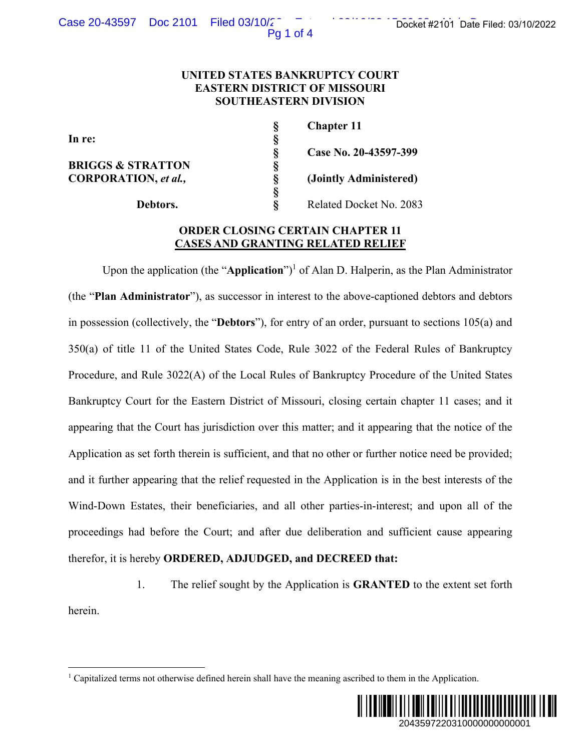Pg 1 of 4

## **UNITED STATES BANKRUPTCY COURT EASTERN DISTRICT OF MISSOURI SOUTHEASTERN DIVISION**

In re:<br> **BRIGGS & STRATTON**<br> **S**<br> **S**<br> **CORPORATION,** *et al.***,<br>
§<br>
<b>Debtors.**<br>
§ **BRIGGS & STRATTON CORPORATION,** *et al.,* **§ (Jointly Administered)** 

 **§ Chapter 11 § Case No. 20-43597-399** 

 **§** 

**Debtors. §** Related Docket No. 2083

# **ORDER CLOSING CERTAIN CHAPTER 11 CASES AND GRANTING RELATED RELIEF**

Upon the application (the "**Application**")<sup>1</sup> of Alan D. Halperin, as the Plan Administrator (the "**Plan Administrator**"), as successor in interest to the above-captioned debtors and debtors in possession (collectively, the "**Debtors**"), for entry of an order, pursuant to sections 105(a) and 350(a) of title 11 of the United States Code, Rule 3022 of the Federal Rules of Bankruptcy Procedure, and Rule 3022(A) of the Local Rules of Bankruptcy Procedure of the United States Bankruptcy Court for the Eastern District of Missouri, closing certain chapter 11 cases; and it appearing that the Court has jurisdiction over this matter; and it appearing that the notice of the Application as set forth therein is sufficient, and that no other or further notice need be provided; and it further appearing that the relief requested in the Application is in the best interests of the Wind-Down Estates, their beneficiaries, and all other parties-in-interest; and upon all of the proceedings had before the Court; and after due deliberation and sufficient cause appearing therefor, it is hereby **ORDERED, ADJUDGED, and DECREED that:** Docket #2101 Date Filed: 03/10/2022<br>
2083<br>
1<br>
2083<br>
2083<br>
2083<br>
1<br>
as the Plan Administrator<br>
oned debtors and debtors<br>
ant to sections 105(a) and<br>
aral Rules of Bankruptcy<br>
dure of the United States<br>
chapter 11 cases; an

1. The relief sought by the Application is **GRANTED** to the extent set forth herein.

<sup>&</sup>lt;sup>1</sup> Capitalized terms not otherwise defined herein shall have the meaning ascribed to them in the Application.

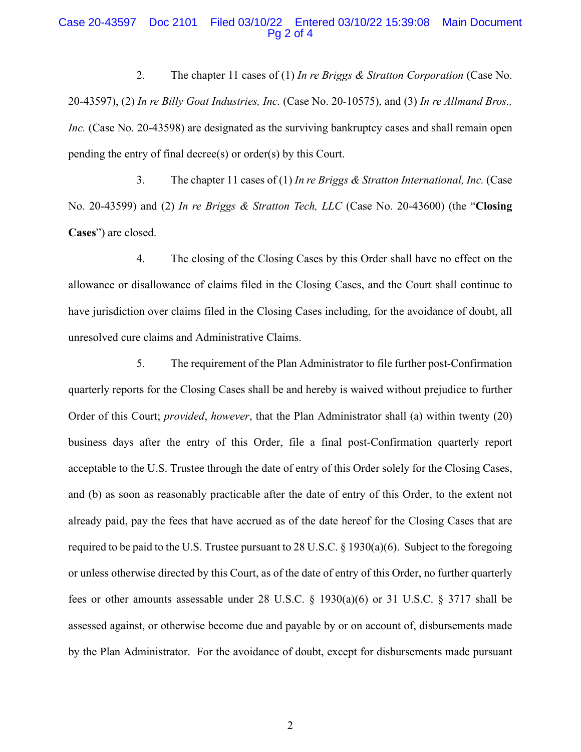### Case 20-43597 Doc 2101 Filed 03/10/22 Entered 03/10/22 15:39:08 Main Document Pg 2 of 4

2. The chapter 11 cases of (1) *In re Briggs & Stratton Corporation* (Case No. 20-43597), (2) *In re Billy Goat Industries, Inc.* (Case No. 20-10575), and (3) *In re Allmand Bros., Inc.* (Case No. 20-43598) are designated as the surviving bankruptcy cases and shall remain open pending the entry of final decree(s) or order(s) by this Court.

3. The chapter 11 cases of (1) *In re Briggs & Stratton International, Inc.* (Case No. 20-43599) and (2) *In re Briggs & Stratton Tech, LLC* (Case No. 20-43600) (the "**Closing Cases**") are closed.

4. The closing of the Closing Cases by this Order shall have no effect on the allowance or disallowance of claims filed in the Closing Cases, and the Court shall continue to have jurisdiction over claims filed in the Closing Cases including, for the avoidance of doubt, all unresolved cure claims and Administrative Claims.

5. The requirement of the Plan Administrator to file further post-Confirmation quarterly reports for the Closing Cases shall be and hereby is waived without prejudice to further Order of this Court; *provided*, *however*, that the Plan Administrator shall (a) within twenty (20) business days after the entry of this Order, file a final post-Confirmation quarterly report acceptable to the U.S. Trustee through the date of entry of this Order solely for the Closing Cases, and (b) as soon as reasonably practicable after the date of entry of this Order, to the extent not already paid, pay the fees that have accrued as of the date hereof for the Closing Cases that are required to be paid to the U.S. Trustee pursuant to 28 U.S.C.  $\S$  1930(a)(6). Subject to the foregoing or unless otherwise directed by this Court, as of the date of entry of this Order, no further quarterly fees or other amounts assessable under 28 U.S.C. § 1930(a)(6) or 31 U.S.C. § 3717 shall be assessed against, or otherwise become due and payable by or on account of, disbursements made by the Plan Administrator. For the avoidance of doubt, except for disbursements made pursuant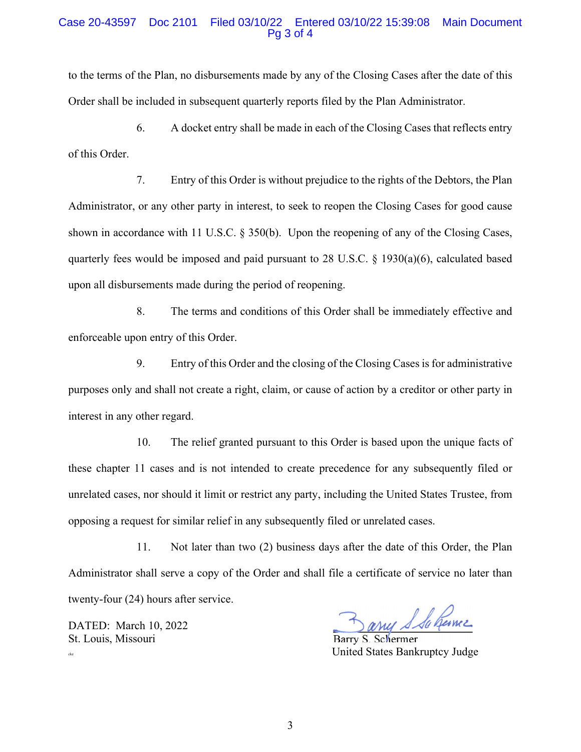### Case 20-43597 Doc 2101 Filed 03/10/22 Entered 03/10/22 15:39:08 Main Document Pg 3 of 4

to the terms of the Plan, no disbursements made by any of the Closing Cases after the date of this Order shall be included in subsequent quarterly reports filed by the Plan Administrator.

6. A docket entry shall be made in each of the Closing Cases that reflects entry of this Order.

7. Entry of this Order is without prejudice to the rights of the Debtors, the Plan Administrator, or any other party in interest, to seek to reopen the Closing Cases for good cause shown in accordance with 11 U.S.C. § 350(b). Upon the reopening of any of the Closing Cases, quarterly fees would be imposed and paid pursuant to 28 U.S.C.  $\S$  1930(a)(6), calculated based upon all disbursements made during the period of reopening.

8. The terms and conditions of this Order shall be immediately effective and enforceable upon entry of this Order.

9. Entry of this Order and the closing of the Closing Cases is for administrative purposes only and shall not create a right, claim, or cause of action by a creditor or other party in interest in any other regard.

10. The relief granted pursuant to this Order is based upon the unique facts of these chapter 11 cases and is not intended to create precedence for any subsequently filed or unrelated cases, nor should it limit or restrict any party, including the United States Trustee, from opposing a request for similar relief in any subsequently filed or unrelated cases.

11. Not later than two (2) business days after the date of this Order, the Plan Administrator shall serve a copy of the Order and shall file a certificate of service no later than twenty-four (24) hours after service.

DATED: March 10, 2022 St. Louis, Missouri Barry S. Schermer

my S Sa hame

cke United States Bankruptcy Judge